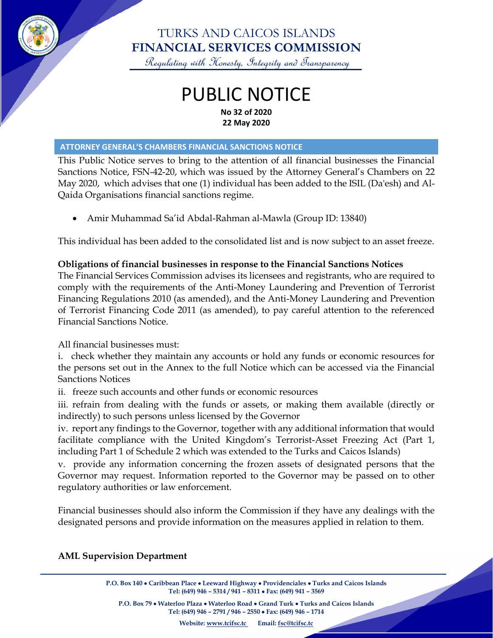

## TURKS AND CAICOS ISLANDS **FINANCIAL SERVICES COMMISSION**

Regulating with Honesty, Integrity and Transparency

## PUBLIC NOTICE **No 32 of 2020 22 May 2020**

#### **ATTORNEY GENERAL'S CHAMBERS FINANCIAL SANCTIONS NOTICE**

This Public Notice serves to bring to the attention of all financial businesses the Financial Sanctions Notice, FSN-42-20, which was issued by the Attorney General's Chambers on 22 May 2020, which advises that one (1) individual has been added to the ISIL (Da'esh) and Al-Qaida Organisations financial sanctions regime.

• Amir Muhammad Sa'id Abdal-Rahman al-Mawla (Group ID: 13840)

This individual has been added to the consolidated list and is now subject to an asset freeze.

### **Obligations of financial businesses in response to the Financial Sanctions Notices**

The Financial Services Commission advises its licensees and registrants, who are required to comply with the requirements of the Anti-Money Laundering and Prevention of Terrorist Financing Regulations 2010 (as amended), and the Anti-Money Laundering and Prevention of Terrorist Financing Code 2011 (as amended), to pay careful attention to the referenced Financial Sanctions Notice.

All financial businesses must:

i. check whether they maintain any accounts or hold any funds or economic resources for the persons set out in the Annex to the full Notice which can be accessed via the Financial Sanctions Notices

ii. freeze such accounts and other funds or economic resources

iii. refrain from dealing with the funds or assets, or making them available (directly or indirectly) to such persons unless licensed by the Governor

iv. report any findings to the Governor, together with any additional information that would facilitate compliance with the United Kingdom's Terrorist-Asset Freezing Act (Part 1, including Part 1 of Schedule 2 which was extended to the Turks and Caicos Islands)

v. provide any information concerning the frozen assets of designated persons that the Governor may request. Information reported to the Governor may be passed on to other regulatory authorities or law enforcement.

Financial businesses should also inform the Commission if they have any dealings with the designated persons and provide information on the measures applied in relation to them.

### **AML Supervision Department**

**P.O. Box 140** • **Caribbean Place** • **Leeward Highway** • **Providenciales** • **Turks and Caicos Islands Tel: (649) 946 – 5314 / 941 – 8311** • **Fax: (649) 941 – 3569**

**P.O. Box 79** • **Waterloo Plaza** • **Waterloo Road** • **Grand Turk** • **Turks and Caicos Islands Tel: (649) 946 – 2791 / 946 – 2550** • **Fax: (649) 946 – 1714**

 $\overline{\phantom{a}}$ 

**Website: [www.tcifsc.tc](http://www.tcifsc.tc/) Email[: fsc@tcifsc.tc](mailto:fsc@tcifsc.tc)**